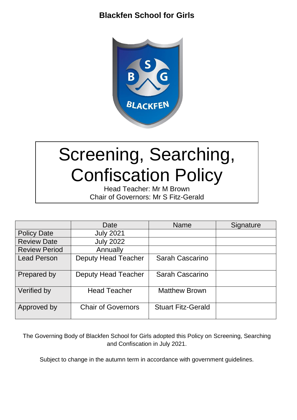

# Screening, Searching, Confiscation Policy

Head Teacher: Mr M Brown Chair of Governors: Mr S Fitz-Gerald

|                      | Date                       | <b>Name</b>               | Signature |
|----------------------|----------------------------|---------------------------|-----------|
| <b>Policy Date</b>   | <b>July 2021</b>           |                           |           |
| <b>Review Date</b>   | <b>July 2022</b>           |                           |           |
| <b>Review Period</b> | Annually                   |                           |           |
| <b>Lead Person</b>   | <b>Deputy Head Teacher</b> | Sarah Cascarino           |           |
| Prepared by          | <b>Deputy Head Teacher</b> | Sarah Cascarino           |           |
| Verified by          | <b>Head Teacher</b>        | <b>Matthew Brown</b>      |           |
| Approved by          | <b>Chair of Governors</b>  | <b>Stuart Fitz-Gerald</b> |           |

The Governing Body of Blackfen School for Girls adopted this Policy on Screening, Searching and Confiscation in July 2021.

Subject to change in the autumn term in accordance with government guidelines.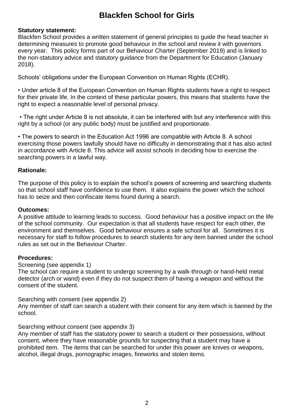### **Statutory statement:**

Blackfen School provides a written statement of general principles to guide the head teacher in determining measures to promote good behaviour in the school and review it with governors every year. This policy forms part of our Behaviour Charter (September 2019) and is linked to the non-statutory advice and statutory guidance from the Department for Education (January 2018).

Schools' obligations under the European Convention on Human Rights (ECHR).

• Under article 8 of the European Convention on Human Rights students have a right to respect for their private life. In the context of these particular powers, this means that students have the right to expect a reasonable level of personal privacy.

• The right under Article 8 is not absolute, it can be interfered with but any interference with this right by a school (or any public body) must be justified and proportionate.

• The powers to search in the Education Act 1996 are compatible with Article 8. A school exercising those powers lawfully should have no difficulty in demonstrating that it has also acted in accordance with Article 8. This advice will assist schools in deciding how to exercise the searching powers in a lawful way.

#### **Rationale:**

The purpose of this policy is to explain the school's powers of screening and searching students so that school staff have confidence to use them. It also explains the power which the school has to seize and then confiscate items found during a search.

#### **Outcomes:**

A positive attitude to learning leads to success. Good behaviour has a positive impact on the life of the school community. Our expectation is that all students have respect for each other, the environment and themselves. Good behaviour ensures a safe school for all. Sometimes it is necessary for staff to follow procedures to search students for any item banned under the school rules as set out in the Behaviour Charter.

#### **Procedures:**

Screening (see appendix 1)

The school can require a student to undergo screening by a walk-through or hand-held metal detector (arch or wand) even if they do not suspect them of having a weapon and without the consent of the student.

Searching with consent (see appendix 2)

Any member of staff can search a student with their consent for any item which is banned by the school.

#### Searching without consent (see appendix 3)

Any member of staff has the statutory power to search a student or their possessions, without consent, where they have reasonable grounds for suspecting that a student may have a prohibited item. The items that can be searched for under this power are knives or weapons, alcohol, illegal drugs, pornographic images, fireworks and stolen items.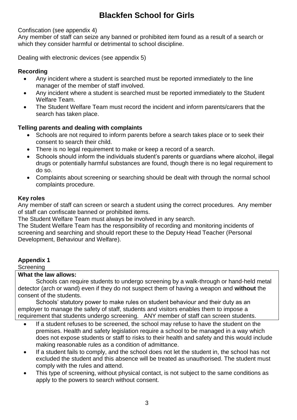### Confiscation (see appendix 4)

Any member of staff can seize any banned or prohibited item found as a result of a search or which they consider harmful or detrimental to school discipline.

Dealing with electronic devices (see appendix 5)

### **Recording**

- Any incident where a student is searched must be reported immediately to the line manager of the member of staff involved.
- Any incident where a student is searched must be reported immediately to the Student Welfare Team.
- The Student Welfare Team must record the incident and inform parents/carers that the search has taken place.

### **Telling parents and dealing with complaints**

- Schools are not required to inform parents before a search takes place or to seek their consent to search their child.
- There is no legal requirement to make or keep a record of a search.
- Schools should inform the individuals student's parents or quardians where alcohol, illegal drugs or potentially harmful substances are found, though there is no legal requirement to do so.
- Complaints about screening or searching should be dealt with through the normal school complaints procedure.

#### **Key roles**

Any member of staff can screen or search a student using the correct procedures. Any member of staff can confiscate banned or prohibited items.

The Student Welfare Team must always be involved in any search.

The Student Welfare Team has the responsibility of recording and monitoring incidents of screening and searching and should report these to the Deputy Head Teacher (Personal Development, Behaviour and Welfare).

### **Appendix 1**

**Screening** 

#### **What the law allows:**

Schools can require students to undergo screening by a walk-through or hand-held metal detector (arch or wand) even if they do not suspect them of having a weapon and **without** the consent of the students.

Schools' statutory power to make rules on student behaviour and their duty as an employer to manage the safety of staff, students and visitors enables them to impose a requirement that students undergo screening. ANY member of staff can screen students.

- If a student refuses to be screened, the school may refuse to have the student on the premises. Health and safety legislation require a school to be managed in a way which does not expose students or staff to risks to their health and safety and this would include making reasonable rules as a condition of admittance.
- If a student fails to comply, and the school does not let the student in, the school has not excluded the student and this absence will be treated as unauthorised. The student must comply with the rules and attend.
- This type of screening, without physical contact, is not subject to the same conditions as apply to the powers to search without consent.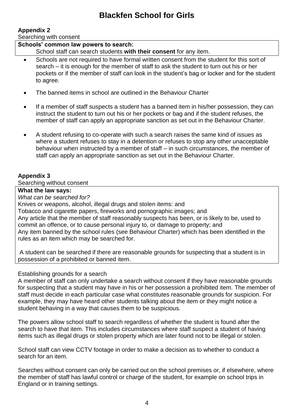### **Appendix 2**

Searching with consent

| Schools' common law powers to search:<br>School staff can search students with their consent for any item.                                                                                                                                                                                         |
|----------------------------------------------------------------------------------------------------------------------------------------------------------------------------------------------------------------------------------------------------------------------------------------------------|
| Schools are not required to have formal written consent from the student for this sort of<br>search – it is enough for the member of staff to ask the student to turn out his or her<br>pockets or if the member of staff can look in the student's bag or locker and for the student<br>to agree. |

- The banned items in school are outlined in the Behaviour Charter
- If a member of staff suspects a student has a banned item in his/her possession, they can instruct the student to turn out his or her pockets or bag and if the student refuses, the member of staff can apply an appropriate sanction as set out in the Behaviour Charter.
- A student refusing to co-operate with such a search raises the same kind of issues as where a student refuses to stay in a detention or refuses to stop any other unacceptable behaviour when instructed by a member of staff – in such circumstances, the member of staff can apply an appropriate sanction as set out in the Behaviour Charter.

### **Appendix 3**

Searching without consent

**What the law says:** 

*What can be searched for?* 

Knives or weapons, alcohol, illegal drugs and stolen items: and

Tobacco and cigarette papers, fireworks and pornographic images; and

Any article that the member of staff reasonably suspects has been, or is likely to be, used to commit an offence, or to cause personal injury to, or damage to property; and Any item banned by the school rules (see Behaviour Charter) which has been identified in the

rules as an item which may be searched for.

A student can be searched if there are reasonable grounds for suspecting that a student is in possession of a prohibited or banned item.

### Establishing grounds for a search

A member of staff can only undertake a search without consent if they have reasonable grounds for suspecting that a student may have in his or her possession a prohibited item. The member of staff must decide in each particular case what constitutes reasonable grounds for suspicion. For example, they may have heard other students talking about the item or they might notice a student behaving in a way that causes them to be suspicious.

The powers allow school staff to search regardless of whether the student is found after the search to have that item. This includes circumstances where staff suspect a student of having items such as illegal drugs or stolen property which are later found not to be illegal or stolen.

School staff can view CCTV footage in order to make a decision as to whether to conduct a search for an item.

Searches without consent can only be carried out on the school premises or, if elsewhere, where the member of staff has lawful control or charge of the student, for example on school trips in England or in training settings.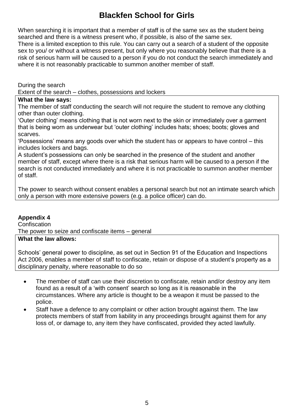When searching it is important that a member of staff is of the same sex as the student being searched and there is a witness present who, if possible, is also of the same sex. There is a limited exception to this rule. You can carry out a search of a student of the opposite sex to you/ or without a witness present, but only where you reasonably believe that there is a risk of serious harm will be caused to a person if you do not conduct the search immediately and where it is not reasonably practicable to summon another member of staff.

During the search

Extent of the search – clothes, possessions and lockers

#### **What the law says:**

The member of staff conducting the search will not require the student to remove any clothing other than outer clothing.

'Outer clothing' means clothing that is not worn next to the skin or immediately over a garment that is being worn as underwear but 'outer clothing' includes hats; shoes; boots; gloves and scarves.

'Possessions' means any goods over which the student has or appears to have control – this includes lockers and bags.

A student's possessions can only be searched in the presence of the student and another member of staff, except where there is a risk that serious harm will be caused to a person if the search is not conducted immediately and where it is not practicable to summon another member of staff.

The power to search without consent enables a personal search but not an intimate search which only a person with more extensive powers (e.g. a police officer) can do.

### **Appendix 4**

**Confiscation** The power to seize and confiscate items – general

### **What the law allows:**

Schools' general power to discipline, as set out in Section 91 of the Education and Inspections Act 2006, enables a member of staff to confiscate, retain or dispose of a student's property as a disciplinary penalty, where reasonable to do so

- The member of staff can use their discretion to confiscate, retain and/or destroy any item found as a result of a 'with consent' search so long as it is reasonable in the circumstances. Where any article is thought to be a weapon it must be passed to the police.
- Staff have a defence to any complaint or other action brought against them. The law protects members of staff from liability in any proceedings brought against them for any loss of, or damage to, any item they have confiscated, provided they acted lawfully.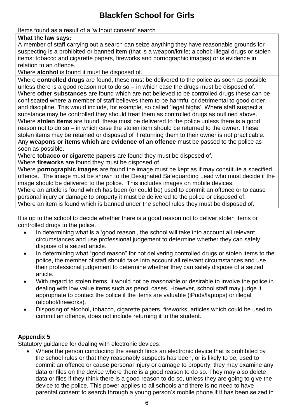### Items found as a result of a 'without consent' search

### **What the law says:**

A member of staff carrying out a search can seize anything they have reasonable grounds for suspecting is a prohibited or banned item (that is a weapon/knife; alcohol; illegal drugs or stolen items; tobacco and cigarette papers, fireworks and pornographic images) or is evidence in relation to an offence.

Where **alcohol** is found it must be disposed of.

Where **controlled drugs** are found, these must be delivered to the police as soon as possible unless there is a good reason not to do so  $-$  in which case the drugs must be disposed of. Where **other substances** are found which are not believed to be controlled drugs these can be confiscated where a member of staff believes them to be harmful or detrimental to good order and discipline. This would include, for example, so called 'legal highs'. Where staff suspect a substance may be controlled they should treat them as controlled drugs as outlined above. Where **stolen items** are found, these must be delivered to the police unless there is a good reason not to do so – in which case the stolen item should be returned to the owner. These stolen items may be retained or disposed of if returning them to their owner is not practicable. Any **weapons or items which are evidence of an offence** must be passed to the police as soon as possible.

Where **tobacco or cigarette papers** are found they must be disposed of.

Where **fireworks** are found they must be disposed of.

Where **pornographic images** are found the image must be kept as if may constitute a specified offence. The image must be shown to the Designated Safeguarding Lead who must decide if the image should be delivered to the police. This includes images on mobile devices.

Where an article is found which has been (or could be) used to commit an offence or to cause personal injury or damage to property it must be delivered to the police or disposed of. Where an item is found which is banned under the school rules they must be disposed of.

It is up to the school to decide whether there is a good reason not to deliver stolen items or controlled drugs to the police.

- In determining what is a 'good reason', the school will take into account all relevant circumstances and use professional judgement to determine whether they can safely dispose of a seized article.
- In determining what "good reason" for not delivering controlled drugs or stolen items to the police, the member of staff should take into account all relevant circumstances and use their professional judgement to determine whether they can safely dispose of a seized article.
- With regard to stolen items, it would not be reasonable or desirable to involve the police in dealing with low value items such as pencil cases. However, school staff may judge it appropriate to contact the police if the items are valuable (iPods/laptops) or illegal (alcohol/fireworks).
- Disposing of alcohol, tobacco, cigarette papers, fireworks, articles which could be used to commit an offence, does not include returning it to the student.

### **Appendix 5**

Statutory guidance for dealing with electronic devices:

 Where the person conducting the search finds an electronic device that is prohibited by the school rules or that they reasonably suspects has been, or is likely to be, used to commit an offence or cause personal injury or damage to property, they may examine any data or files on the device where there is a good reason to do so. They may also delete data or files if they think there is a good reason to do so, unless they are going to give the device to the police. This power applies to all schools and there is no need to have parental consent to search through a young person's mobile phone if it has been seized in